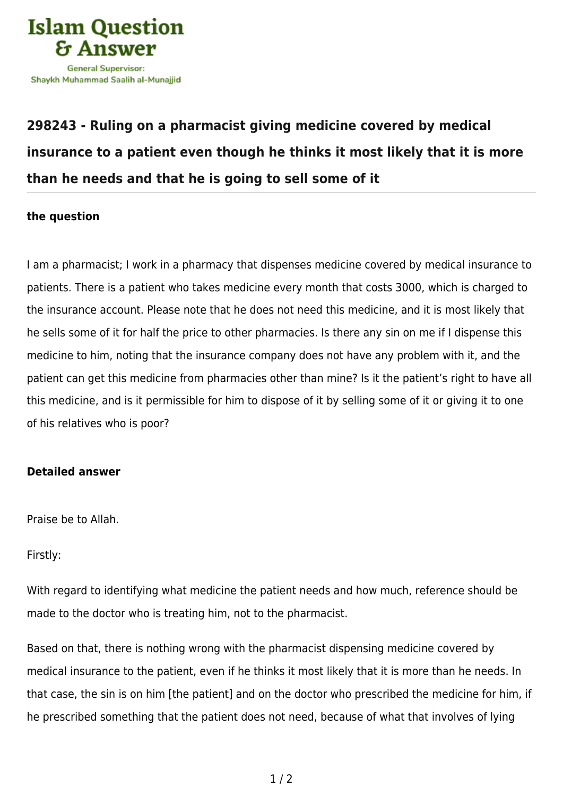

## **[298243 - Ruling on a pharmacist giving medicine covered by medical](https://islamqa.com/en/answers/298243/ruling-on-a-pharmacist-giving-medicine-covered-by-medical-insurance-to-a-patient-even-though-he-thinks-it-most-likely-that-it-is-more-than-he-needs-and-that-he-is-going-to-sell-some-of-it) [insurance to a patient even though he thinks it most likely that it is more](https://islamqa.com/en/answers/298243/ruling-on-a-pharmacist-giving-medicine-covered-by-medical-insurance-to-a-patient-even-though-he-thinks-it-most-likely-that-it-is-more-than-he-needs-and-that-he-is-going-to-sell-some-of-it) [than he needs and that he is going to sell some of it](https://islamqa.com/en/answers/298243/ruling-on-a-pharmacist-giving-medicine-covered-by-medical-insurance-to-a-patient-even-though-he-thinks-it-most-likely-that-it-is-more-than-he-needs-and-that-he-is-going-to-sell-some-of-it)**

## **the question**

I am a pharmacist; I work in a pharmacy that dispenses medicine covered by medical insurance to patients. There is a patient who takes medicine every month that costs 3000, which is charged to the insurance account. Please note that he does not need this medicine, and it is most likely that he sells some of it for half the price to other pharmacies. Is there any sin on me if I dispense this medicine to him, noting that the insurance company does not have any problem with it, and the patient can get this medicine from pharmacies other than mine? Is it the patient's right to have all this medicine, and is it permissible for him to dispose of it by selling some of it or giving it to one of his relatives who is poor?

## **Detailed answer**

Praise be to Allah.

Firstly:

With regard to identifying what medicine the patient needs and how much, reference should be made to the doctor who is treating him, not to the pharmacist.

Based on that, there is nothing wrong with the pharmacist dispensing medicine covered by medical insurance to the patient, even if he thinks it most likely that it is more than he needs. In that case, the sin is on him [the patient] and on the doctor who prescribed the medicine for him, if he prescribed something that the patient does not need, because of what that involves of lying